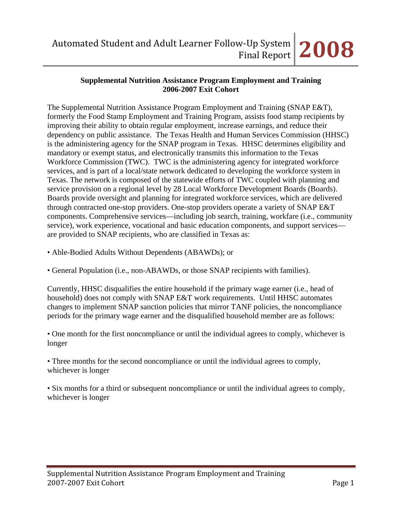#### **Supplemental Nutrition Assistance Program Employment and Training 2006-2007 Exit Cohort**

The Supplemental Nutrition Assistance Program Employment and Training (SNAP E&T), formerly the Food Stamp Employment and Training Program, assists food stamp recipients by improving their ability to obtain regular employment, increase earnings, and reduce their dependency on public assistance. The Texas Health and Human Services Commission (HHSC) is the administering agency for the SNAP program in Texas. HHSC determines eligibility and mandatory or exempt status, and electronically transmits this information to the Texas Workforce Commission (TWC). TWC is the administering agency for integrated workforce services, and is part of a local/state network dedicated to developing the workforce system in Texas. The network is composed of the statewide efforts of TWC coupled with planning and service provision on a regional level by 28 Local Workforce Development Boards (Boards). Boards provide oversight and planning for integrated workforce services, which are delivered through contracted one-stop providers. One-stop providers operate a variety of SNAP E&T components. Comprehensive services—including job search, training, workfare (i.e., community service), work experience, vocational and basic education components, and support services are provided to SNAP recipients, who are classified in Texas as:

- Able-Bodied Adults Without Dependents (ABAWDs); or
- General Population (i.e., non-ABAWDs, or those SNAP recipients with families).

Currently, HHSC disqualifies the entire household if the primary wage earner (i.e., head of household) does not comply with SNAP E&T work requirements. Until HHSC automates changes to implement SNAP sanction policies that mirror TANF policies, the noncompliance periods for the primary wage earner and the disqualified household member are as follows:

• One month for the first noncompliance or until the individual agrees to comply, whichever is longer

• Three months for the second noncompliance or until the individual agrees to comply, whichever is longer

• Six months for a third or subsequent noncompliance or until the individual agrees to comply, whichever is longer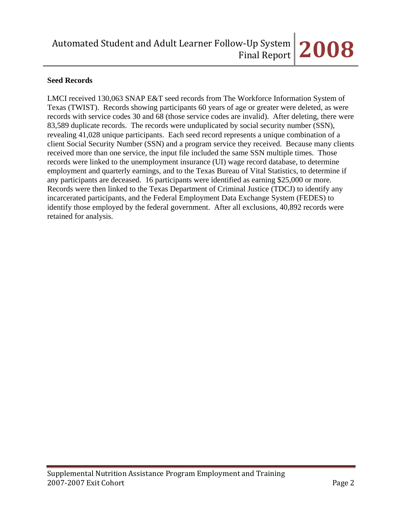### **Seed Records**

LMCI received 130,063 SNAP E&T seed records from The Workforce Information System of Texas (TWIST). Records showing participants 60 years of age or greater were deleted, as were records with service codes 30 and 68 (those service codes are invalid). After deleting, there were 83,589 duplicate records. The records were unduplicated by social security number (SSN), revealing 41,028 unique participants. Each seed record represents a unique combination of a client Social Security Number (SSN) and a program service they received. Because many clients received more than one service, the input file included the same SSN multiple times. Those records were linked to the unemployment insurance (UI) wage record database, to determine employment and quarterly earnings, and to the Texas Bureau of Vital Statistics, to determine if any participants are deceased. 16 participants were identified as earning \$25,000 or more. Records were then linked to the Texas Department of Criminal Justice (TDCJ) to identify any incarcerated participants, and the Federal Employment Data Exchange System (FEDES) to identify those employed by the federal government. After all exclusions, 40,892 records were retained for analysis.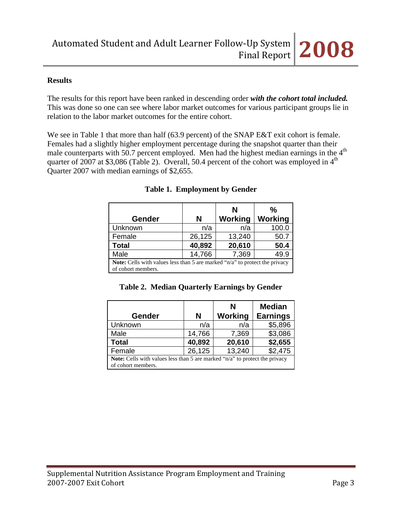#### **Results**

The results for this report have been ranked in descending order *with the cohort total included.* This was done so one can see where labor market outcomes for various participant groups lie in relation to the labor market outcomes for the entire cohort.

We see in Table 1 that more than half (63.9 percent) of the SNAP E&T exit cohort is female. Females had a slightly higher employment percentage during the snapshot quarter than their male counterparts with 50.7 percent employed. Men had the highest median earnings in the 4<sup>th</sup> quarter of 2007 at \$3,086 (Table 2). Overall, 50.4 percent of the cohort was employed in  $4<sup>th</sup>$ Quarter 2007 with median earnings of \$2,655.

|                                                                                        |        | N       | $\frac{0}{0}$  |  |  |
|----------------------------------------------------------------------------------------|--------|---------|----------------|--|--|
| <b>Gender</b>                                                                          | N      | Working | <b>Working</b> |  |  |
| Unknown                                                                                | n/a    | n/a     | 100.0          |  |  |
| Female                                                                                 | 26,125 | 13,240  | 50.7           |  |  |
| <b>Total</b>                                                                           | 40,892 | 20,610  | 50.4           |  |  |
| Male                                                                                   | 14,766 | 7,369   | 49.9           |  |  |
| <b>Note:</b> Cells with values less than 5 are marked " $n/a$ " to protect the privacy |        |         |                |  |  |
| of cohort members.                                                                     |        |         |                |  |  |

# **Table 1. Employment by Gender**

|  |  | Table 2. Median Quarterly Earnings by Gender |  |  |  |
|--|--|----------------------------------------------|--|--|--|
|--|--|----------------------------------------------|--|--|--|

|                                                                                    |        | N       | <b>Median</b>   |  |  |
|------------------------------------------------------------------------------------|--------|---------|-----------------|--|--|
| <b>Gender</b>                                                                      | N      | Working | <b>Earnings</b> |  |  |
| Unknown                                                                            | n/a    | n/a     | \$5,896         |  |  |
| Male                                                                               | 14,766 | 7,369   | \$3,086         |  |  |
| <b>Total</b>                                                                       | 40,892 | 20,610  | \$2,655         |  |  |
| Female                                                                             | 26,125 | 13,240  | \$2,475         |  |  |
| <b>Note:</b> Cells with values less than 5 are marked "n/a" to protect the privacy |        |         |                 |  |  |
| of cohort members.                                                                 |        |         |                 |  |  |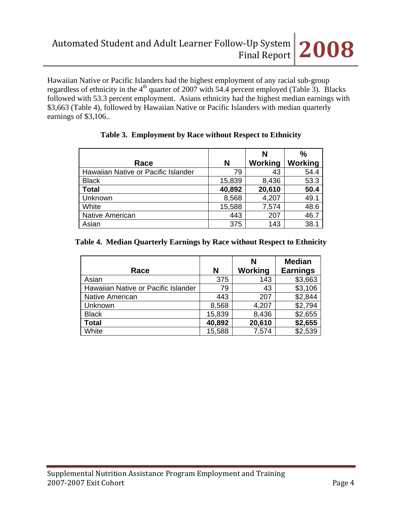Hawaiian Native or Pacific Islanders had the highest employment of any racial sub-group regardless of ethnicity in the  $4<sup>th</sup>$  quarter of 2007 with 54.4 percent employed (Table 3). Blacks followed with 53.3 percent employment. Asians ethnicity had the highest median earnings with \$3,663 (Table 4), followed by Hawaiian Native or Pacific Islanders with median quarterly earnings of \$3,106..

|                                     |        | N       | $\frac{0}{0}$ |
|-------------------------------------|--------|---------|---------------|
| Race                                | N      | Working | Working       |
| Hawaiian Native or Pacific Islander | 79     | 43      | 54.4          |
| <b>Black</b>                        | 15,839 | 8,436   | 53.3          |
| <b>Total</b>                        | 40,892 | 20,610  | 50.4          |
| Unknown                             | 8,568  | 4,207   | 49.1          |
| White                               | 15,588 | 7,574   | 48.6          |
| <b>Native American</b>              | 443    | 207     | 46.7          |
| Asian                               | 375    | 143     | 38.1          |

# **Table 3. Employment by Race without Respect to Ethnicity**

### **Table 4. Median Quarterly Earnings by Race without Respect to Ethnicity**

| Race                                | N      | N<br>Working | <b>Median</b><br><b>Earnings</b> |
|-------------------------------------|--------|--------------|----------------------------------|
| Asian                               | 375    | 143          | \$3,663                          |
| Hawaiian Native or Pacific Islander | 79     | 43           | \$3,106                          |
| <b>Native American</b>              | 443    | 207          | \$2,844                          |
| Unknown                             | 8,568  | 4,207        | \$2,794                          |
| <b>Black</b>                        | 15,839 | 8,436        | \$2,655                          |
| <b>Total</b>                        | 40,892 | 20,610       | \$2,655                          |
| White                               | 15,588 | 7,574        | \$2,539                          |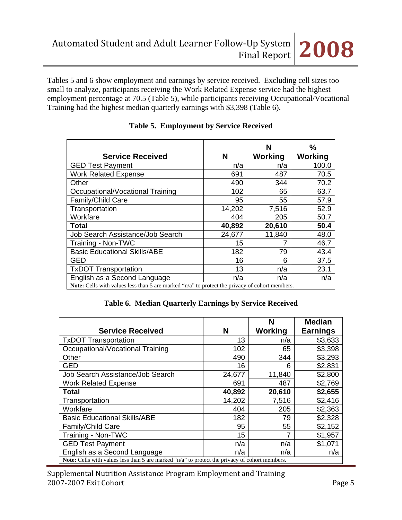Tables 5 and 6 show employment and earnings by service received. Excluding cell sizes too small to analyze, participants receiving the Work Related Expense service had the highest employment percentage at 70.5 (Table 5), while participants receiving Occupational/Vocational Training had the highest median quarterly earnings with \$3,398 (Table 6).

| <b>Service Received</b>                                                                        | N      | N<br>Working | %<br>Working |
|------------------------------------------------------------------------------------------------|--------|--------------|--------------|
| <b>GED Test Payment</b>                                                                        | n/a    | n/a          | 100.0        |
| <b>Work Related Expense</b>                                                                    | 691    | 487          | 70.5         |
| Other                                                                                          | 490    | 344          | 70.2         |
| Occupational/Vocational Training                                                               | 102    | 65           | 63.7         |
| Family/Child Care                                                                              | 95     | 55           | 57.9         |
| Transportation                                                                                 | 14,202 | 7,516        | 52.9         |
| Workfare                                                                                       | 404    | 205          | 50.7         |
| Total                                                                                          | 40,892 | 20,610       | 50.4         |
| Job Search Assistance/Job Search                                                               | 24,677 | 11,840       | 48.0         |
| Training - Non-TWC                                                                             | 15     |              | 46.7         |
| <b>Basic Educational Skills/ABE</b>                                                            | 182    | 79           | 43.4         |
| GED                                                                                            | 16     | 6            | 37.5         |
| <b>TxDOT Transportation</b>                                                                    | 13     | n/a          | 23.1         |
| English as a Second Language                                                                   | n/a    | n/a          | n/a          |
| Note: Cells with values less than 5 are marked "n/a" to protect the privacy of cohort members. |        |              |              |

# **Table 5. Employment by Service Received**

|  | Table 6. Median Quarterly Earnings by Service Received |  |  |
|--|--------------------------------------------------------|--|--|
|  |                                                        |  |  |

|                                                                                                       |        | N       | <b>Median</b>   |
|-------------------------------------------------------------------------------------------------------|--------|---------|-----------------|
| <b>Service Received</b>                                                                               | N      | Working | <b>Earnings</b> |
| <b>TxDOT Transportation</b>                                                                           | 13     | n/a     | \$3,633         |
| Occupational/Vocational Training                                                                      | 102    | 65      | \$3,398         |
| Other                                                                                                 | 490    | 344     | \$3,293         |
| <b>GED</b>                                                                                            | 16     | 6       | \$2,831         |
| Job Search Assistance/Job Search                                                                      | 24,677 | 11,840  | \$2,800         |
| <b>Work Related Expense</b>                                                                           | 691    | 487     | \$2,769         |
| <b>Total</b>                                                                                          | 40,892 | 20,610  | \$2,655         |
| Transportation                                                                                        | 14,202 | 7,516   | \$2,416         |
| Workfare                                                                                              | 404    | 205     | \$2,363         |
| <b>Basic Educational Skills/ABE</b>                                                                   | 182    | 79      | \$2,328         |
| <b>Family/Child Care</b>                                                                              | 95     | 55      | \$2,152         |
| Training - Non-TWC                                                                                    | 15     | 7       | \$1,957         |
| <b>GED Test Payment</b>                                                                               | n/a    | n/a     | \$1,071         |
| English as a Second Language                                                                          | n/a    | n/a     | n/a             |
| <b>Note:</b> Cells with values less than 5 are marked "n/a" to protect the privacy of cohort members. |        |         |                 |

Supplemental Nutrition Assistance Program Employment and Training 2007‐2007 Exit Cohort Page 5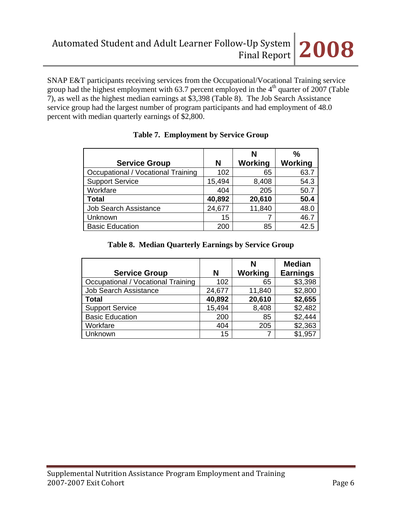SNAP E&T participants receiving services from the Occupational/Vocational Training service group had the highest employment with 63.7 percent employed in the  $4<sup>th</sup>$  quarter of 2007 (Table 7), as well as the highest median earnings at \$3,398 (Table 8). The Job Search Assistance service group had the largest number of program participants and had employment of 48.0 percent with median quarterly earnings of \$2,800.

|                                    |        | N       | %              |
|------------------------------------|--------|---------|----------------|
| <b>Service Group</b>               | N      | Working | <b>Working</b> |
| Occupational / Vocational Training | 102    | 65      | 63.7           |
| <b>Support Service</b>             | 15,494 | 8,408   | 54.3           |
| Workfare                           | 404    | 205     | 50.7           |
| <b>Total</b>                       | 40,892 | 20,610  | 50.4           |
| <b>Job Search Assistance</b>       | 24,677 | 11,840  | 48.0           |
| Unknown                            | 15     |         | 46.7           |
| <b>Basic Education</b>             | 200    | 85      | 42.5           |

# **Table 7. Employment by Service Group**

### **Table 8. Median Quarterly Earnings by Service Group**

| <b>Service Group</b>               | N      | N<br>Working | <b>Median</b><br><b>Earnings</b> |
|------------------------------------|--------|--------------|----------------------------------|
| Occupational / Vocational Training | 102    | 65           | \$3,398                          |
| <b>Job Search Assistance</b>       | 24,677 | 11,840       | \$2,800                          |
| <b>Total</b>                       | 40,892 | 20,610       | \$2,655                          |
| <b>Support Service</b>             | 15,494 | 8,408        | \$2,482                          |
| <b>Basic Education</b>             | 200    | 85           | \$2,444                          |
| Workfare                           | 404    | 205          | \$2,363                          |
| Unknown                            | 15     |              | \$1,957                          |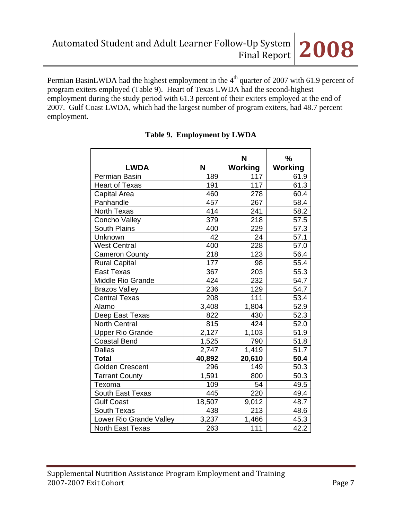employment.

Permian BasinLWDA had the highest employment in the 4<sup>th</sup> quarter of 2007 with 61.9 percent of program exiters employed (Table 9). Heart of Texas LWDA had the second-highest employment during the study period with 61.3 percent of their exiters employed at the end of 2007. Gulf Coast LWDA, which had the largest number of program exiters, had 48.7 percent

> LWDA | N **N Working % Working**  Permian Basin 189 117 61.9 Heart of Texas  $\vert$  191 117 61.3 Capital Area 1460 | 278 | 60.4 Panhandle 1990 1991 1992 10267 1038.4 North Texas 1414 241 58.2 Concho Valley 279 218 57.5 South Plains 1 400 229 57.3 Unknown 1 42 24 57.1 West Central 1 400 228 57.0 Cameron County 218 123 56.4 Rural Capital 177 | 98 | 55.4 East Texas  $\begin{array}{|c|c|c|c|c|c|} \hline \text{East Texas} & & 367 & 203 & 55.3 \\ \hline \end{array}$ Middle Rio Grande  $\vert$  424 232 54.7 Brazos Valley (236 129 54.7 Central Texas 208 111 53.4 Alamo 3,408 1,804 52.9 Deep East Texas 1822 430 52.3 North Central 815 424 52.0 Upper Rio Grande 2,127 | 1,103 Coastal Bend 1,525 790 51.8 Dallas 2,747 1,419 51.7 **Total 40,892 20,610 50.4**  Golden Crescent 1296 149 50.3 Tarrant County  $\begin{array}{|c|c|c|c|c|} \hline \end{array}$  1,591 800 50.3 Texoma 109 54 49.5 South East Texas  $\begin{array}{|c|c|c|c|c|c|} \hline 445 & 220 & 49.4 \ \hline \end{array}$ Gulf Coast 18,507 9,012 48.7 South Texas 1 438 213 48.6 Lower Rio Grande Valley 3,237 1,466 45.3 North East Texas | 263 | 111 | 42.2

# **Table 9. Employment by LWDA**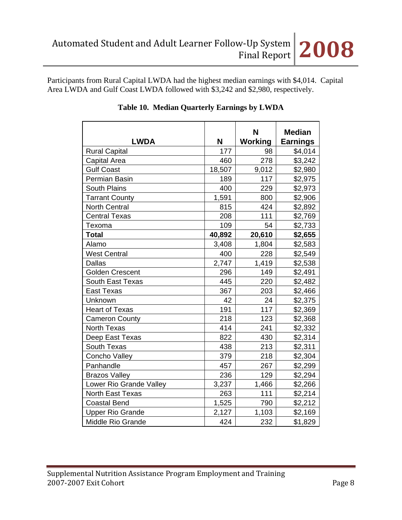Participants from Rural Capital LWDA had the highest median earnings with \$4,014. Capital Area LWDA and Gulf Coast LWDA followed with \$3,242 and \$2,980, respectively.

| <b>LWDA</b>              | N      | N<br>Working | <b>Median</b><br><b>Earnings</b> |
|--------------------------|--------|--------------|----------------------------------|
| <b>Rural Capital</b>     | 177    | 98           | \$4,014                          |
| Capital Area             | 460    | 278          | \$3,242                          |
| <b>Gulf Coast</b>        | 18,507 | 9,012        | \$2,980                          |
| Permian Basin            | 189    | 117          | \$2,975                          |
| South Plains             | 400    | 229          | \$2,973                          |
| <b>Tarrant County</b>    | 1,591  | 800          | \$2,906                          |
| <b>North Central</b>     | 815    | 424          | \$2,892                          |
| <b>Central Texas</b>     | 208    | 111          | \$2,769                          |
| Texoma                   | 109    | 54           | \$2,733                          |
| <b>Total</b>             | 40,892 | 20,610       | \$2,655                          |
| Alamo                    | 3,408  | 1,804        | \$2,583                          |
| <b>West Central</b>      | 400    | 228          | \$2,549                          |
| <b>Dallas</b>            | 2,747  | 1,419        | \$2,538                          |
| <b>Golden Crescent</b>   | 296    | 149          | \$2,491                          |
| <b>South East Texas</b>  | 445    | 220          | \$2,482                          |
| <b>East Texas</b>        | 367    | 203          | \$2,466                          |
| Unknown                  | 42     | 24           | \$2,375                          |
| <b>Heart of Texas</b>    | 191    | 117          | \$2,369                          |
| <b>Cameron County</b>    | 218    | 123          | \$2,368                          |
| <b>North Texas</b>       | 414    | 241          | \$2,332                          |
| Deep East Texas          | 822    | 430          | \$2,314                          |
| South Texas              | 438    | 213          | \$2,311                          |
| Concho Valley            | 379    | 218          | \$2,304                          |
| Panhandle                | 457    | 267          | \$2,299                          |
| <b>Brazos Valley</b>     | 236    | 129          | \$2,294                          |
| Lower Rio Grande Valley  | 3,237  | 1,466        | \$2,266                          |
| North East Texas         | 263    | 111          | \$2,214                          |
| <b>Coastal Bend</b>      | 1,525  | 790          | \$2,212                          |
| <b>Upper Rio Grande</b>  | 2,127  | 1,103        | \$2,169                          |
| <b>Middle Rio Grande</b> | 424    | 232          | \$1,829                          |

# **Table 10. Median Quarterly Earnings by LWDA**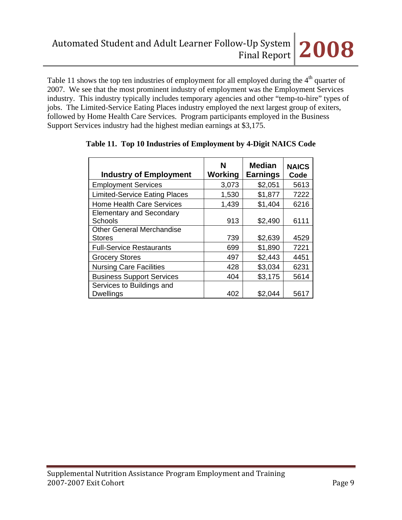Table 11 shows the top ten industries of employment for all employed during the 4<sup>th</sup> quarter of 2007. We see that the most prominent industry of employment was the Employment Services industry. This industry typically includes temporary agencies and other "temp-to-hire" types of jobs. The Limited-Service Eating Places industry employed the next largest group of exiters, followed by Home Health Care Services. Program participants employed in the Business Support Services industry had the highest median earnings at \$3,175.

| <b>Industry of Employment</b>        | N<br>Working | <b>Median</b><br><b>Earnings</b> | <b>NAICS</b><br>Code |
|--------------------------------------|--------------|----------------------------------|----------------------|
| <b>Employment Services</b>           | 3,073        | \$2,051                          | 5613                 |
| <b>Limited-Service Eating Places</b> | 1,530        | \$1,877                          | 7222                 |
| <b>Home Health Care Services</b>     | 1,439        | \$1,404                          | 6216                 |
| <b>Elementary and Secondary</b>      |              |                                  |                      |
| Schools                              | 913          | \$2,490                          | 6111                 |
| <b>Other General Merchandise</b>     |              |                                  |                      |
| <b>Stores</b>                        | 739          | \$2,639                          | 4529                 |
| <b>Full-Service Restaurants</b>      | 699          | \$1,890                          | 7221                 |
| <b>Grocery Stores</b>                | 497          | \$2,443                          | 4451                 |
| <b>Nursing Care Facilities</b>       | 428          | \$3,034                          | 6231                 |
| <b>Business Support Services</b>     | 404          | \$3,175                          | 5614                 |
| Services to Buildings and            |              |                                  |                      |
| <b>Dwellings</b>                     | 402          | \$2,044                          | 5617                 |

# **Table 11. Top 10 Industries of Employment by 4-Digit NAICS Code**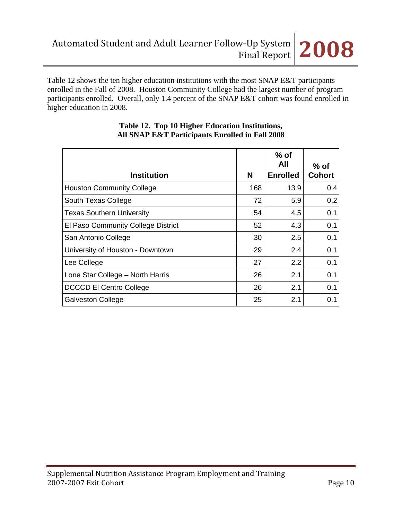

Table 12 shows the ten higher education institutions with the most SNAP E&T participants enrolled in the Fall of 2008. Houston Community College had the largest number of program participants enrolled. Overall, only 1.4 percent of the SNAP E&T cohort was found enrolled in higher education in 2008.

| <b>Institution</b>                 | N   | $%$ of<br>All<br><b>Enrolled</b> | % of<br><b>Cohort</b> |
|------------------------------------|-----|----------------------------------|-----------------------|
| <b>Houston Community College</b>   | 168 | 13.9                             | 0.4                   |
| South Texas College                | 72  | 5.9                              | 0.2                   |
| <b>Texas Southern University</b>   | 54  | 4.5                              | 0.1                   |
| El Paso Community College District | 52  | 4.3                              | 0.1                   |
| San Antonio College                | 30  | 2.5                              | 0.1                   |
| University of Houston - Downtown   | 29  | 2.4                              | 0.1                   |
| Lee College                        | 27  | 2.2                              | 0.1                   |
| Lone Star College - North Harris   | 26  | 2.1                              | 0.1                   |
| <b>DCCCD El Centro College</b>     | 26  | 2.1                              | 0.1                   |
| <b>Galveston College</b>           | 25  | 2.1                              | 0.1                   |

#### **Table 12. Top 10 Higher Education Institutions, All SNAP E&T Participants Enrolled in Fall 2008**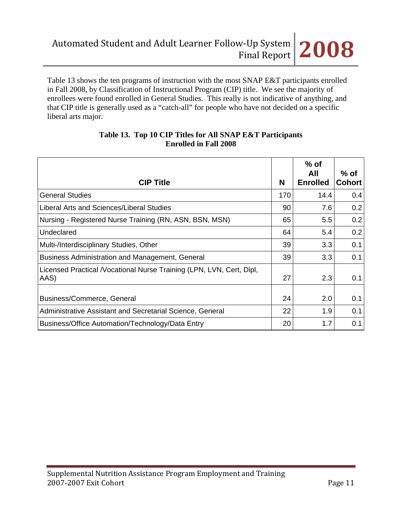Table 13 shows the ten programs of instruction with the most SNAP E&T participants enrolled in Fall 2008, by Classification of Instructional Program (CIP) title. We see the majority of enrollees were found enrolled in General Studies. This really is not indicative of anything, and that CIP title is generally used as a "catch-all" for people who have not decided on a specific liberal arts major.

| <b>CIP Title</b>                                                             | N   | $%$ of<br>All<br><b>Enrolled</b> | $%$ of<br><b>Cohort</b> |
|------------------------------------------------------------------------------|-----|----------------------------------|-------------------------|
| <b>General Studies</b>                                                       | 170 | 14.4                             | 0.4                     |
| Liberal Arts and Sciences/Liberal Studies                                    | 90  | 7.6                              | 0.2                     |
| Nursing - Registered Nurse Training (RN, ASN, BSN, MSN)                      | 65  | 5.5                              | 0.2 <sub>0</sub>        |
| Undeclared                                                                   | 64  | 5.4                              | 0.2                     |
| Multi-/Interdisciplinary Studies, Other                                      | 39  | 3.3                              | 0.1                     |
| Business Administration and Management, General                              | 39  | 3.3                              | 0.1                     |
| Licensed Practical /Vocational Nurse Training (LPN, LVN, Cert, Dipl,<br>AAS) | 27  | 2.3                              | 0.1                     |
| Business/Commerce, General                                                   | 24  | 2.0                              | 0.1                     |
| Administrative Assistant and Secretarial Science, General                    | 22  | 1.9                              | 0.1                     |
| Business/Office Automation/Technology/Data Entry                             | 20  | 1.7                              | 0.1                     |

#### **Table 13. Top 10 CIP Titles for All SNAP E&T Participants Enrolled in Fall 2008**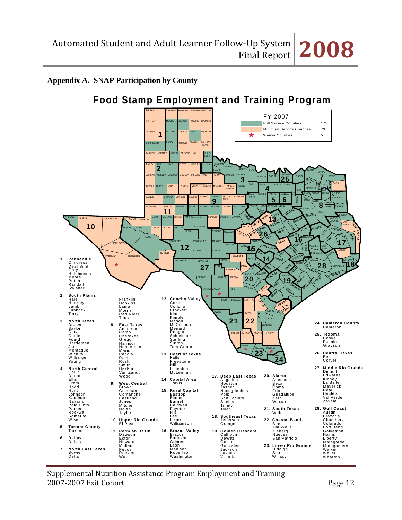# **Appendix A. SNAP Participation by County**



Supplemental Nutrition Assistance Program Employment and Training 2007‐2007 Exit Cohort Page 12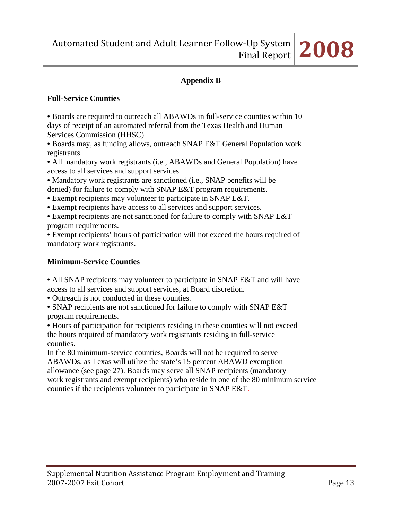

# **Appendix B**

### **Full-Service Counties**

• Boards are required to outreach all ABAWDs in full-service counties within 10 days of receipt of an automated referral from the Texas Health and Human Services Commission (HHSC).

• Boards may, as funding allows, outreach SNAP E&T General Population work registrants.

• All mandatory work registrants (i.e., ABAWDs and General Population) have access to all services and support services.

• Mandatory work registrants are sanctioned (i.e., SNAP benefits will be denied) for failure to comply with SNAP E&T program requirements.

• Exempt recipients may volunteer to participate in SNAP E&T.

• Exempt recipients have access to all services and support services.

• Exempt recipients are not sanctioned for failure to comply with SNAP E&T program requirements.

• Exempt recipients' hours of participation will not exceed the hours required of mandatory work registrants.

# **Minimum-Service Counties**

• All SNAP recipients may volunteer to participate in SNAP E&T and will have access to all services and support services, at Board discretion.

• Outreach is not conducted in these counties.

• SNAP recipients are not sanctioned for failure to comply with SNAP E&T program requirements.

• Hours of participation for recipients residing in these counties will not exceed the hours required of mandatory work registrants residing in full-service counties.

In the 80 minimum-service counties, Boards will not be required to serve ABAWDs, as Texas will utilize the state's 15 percent ABAWD exemption allowance (see page 27). Boards may serve all SNAP recipients (mandatory work registrants and exempt recipients) who reside in one of the 80 minimum service counties if the recipients volunteer to participate in SNAP E&T.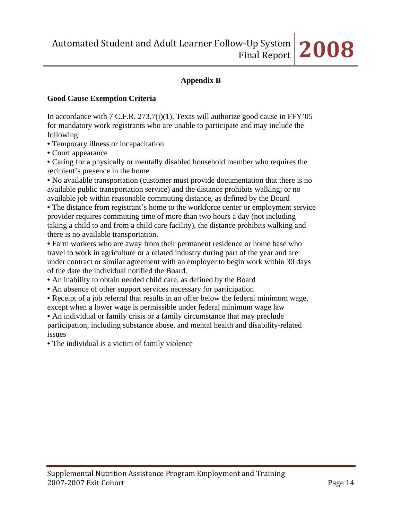# **Appendix B**

#### **Good Cause Exemption Criteria**

In accordance with  $7 \text{ C.F.R. } 273.7 \text{ (i)}(1)$ , Texas will authorize good cause in FFY'05 for mandatory work registrants who are unable to participate and may include the following:

- Temporary illness or incapacitation
- Court appearance

• Caring for a physically or mentally disabled household member who requires the recipient's presence in the home

• No available transportation (customer must provide documentation that there is no available public transportation service) and the distance prohibits walking; or no available job within reasonable commuting distance, as defined by the Board

• The distance from registrant's home to the workforce center or employment service provider requires commuting time of more than two hours a day (not including taking a child to and from a child care facility), the distance prohibits walking and there is no available transportation.

• Farm workers who are away from their permanent residence or home base who travel to work in agriculture or a related industry during part of the year and are under contract or similar agreement with an employer to begin work within 30 days of the date the individual notified the Board.

- An inability to obtain needed child care, as defined by the Board
- An absence of other support services necessary for participation
- Receipt of a job referral that results in an offer below the federal minimum wage, except when a lower wage is permissible under federal minimum wage law

• An individual or family crisis or a family circumstance that may preclude participation, including substance abuse, and mental health and disability-related issues

• The individual is a victim of family violence